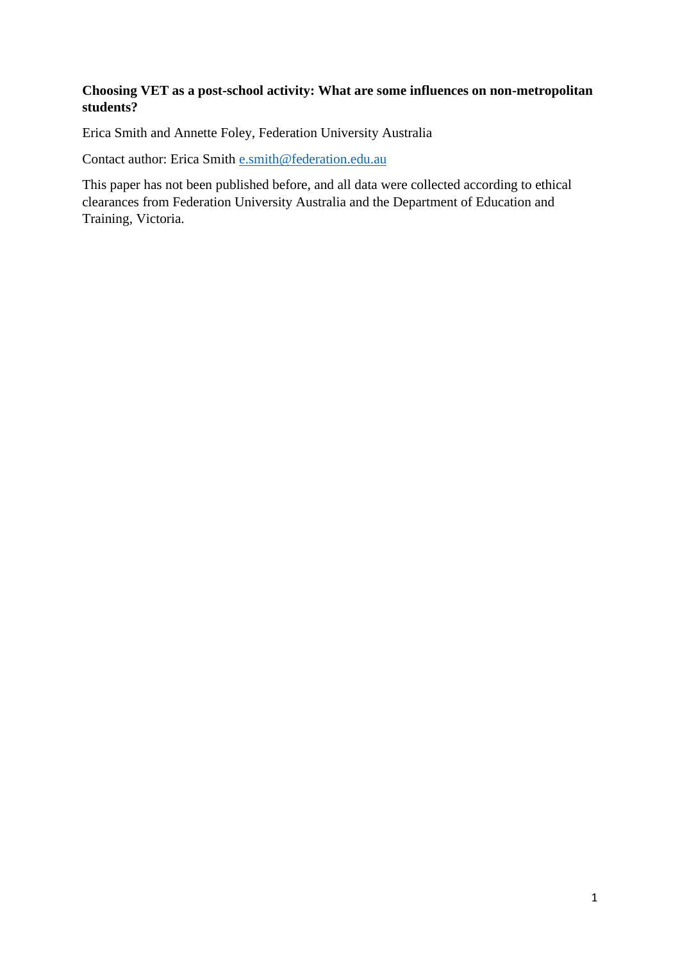### **Choosing VET as a post-school activity: What are some influences on non-metropolitan students?**

Erica Smith and Annette Foley, Federation University Australia

Contact author: Erica Smith [e.smith@federation.edu.au](mailto:e.smith@federation.edu.au)

This paper has not been published before, and all data were collected according to ethical clearances from Federation University Australia and the Department of Education and Training, Victoria.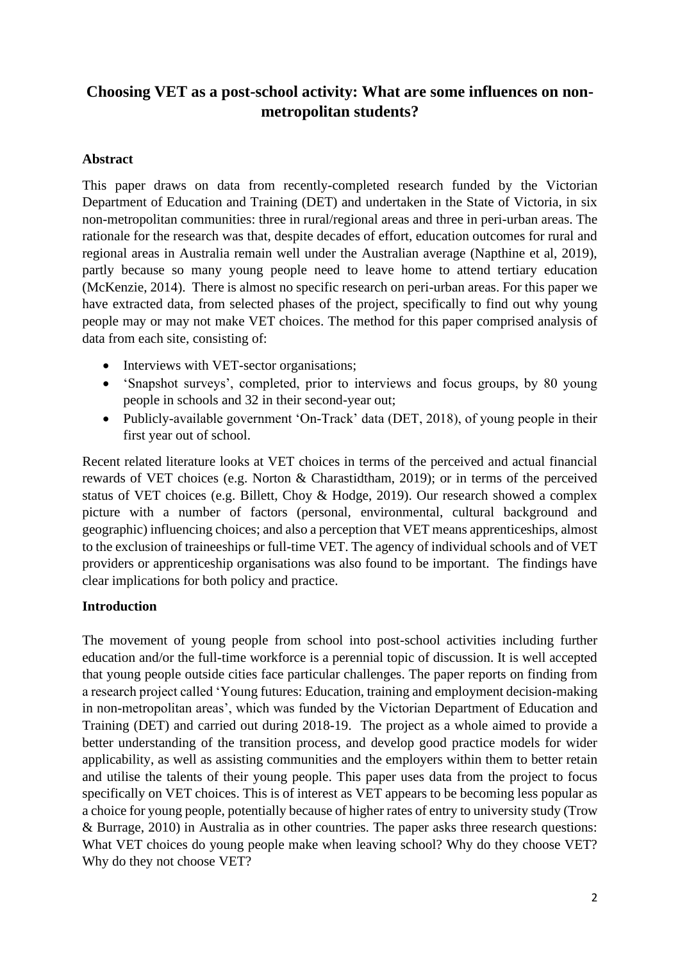# **Choosing VET as a post-school activity: What are some influences on nonmetropolitan students?**

### **Abstract**

This paper draws on data from recently-completed research funded by the Victorian Department of Education and Training (DET) and undertaken in the State of Victoria, in six non-metropolitan communities: three in rural/regional areas and three in peri-urban areas. The rationale for the research was that, despite decades of effort, education outcomes for rural and regional areas in Australia remain well under the Australian average (Napthine et al, 2019), partly because so many young people need to leave home to attend tertiary education (McKenzie, 2014). There is almost no specific research on peri-urban areas. For this paper we have extracted data, from selected phases of the project, specifically to find out why young people may or may not make VET choices. The method for this paper comprised analysis of data from each site, consisting of:

- Interviews with VET-sector organisations;
- 'Snapshot surveys', completed, prior to interviews and focus groups, by 80 young people in schools and 32 in their second-year out;
- Publicly-available government 'On-Track' data (DET, 2018), of young people in their first year out of school.

Recent related literature looks at VET choices in terms of the perceived and actual financial rewards of VET choices (e.g. Norton & Charastidtham, 2019); or in terms of the perceived status of VET choices (e.g. Billett, Choy & Hodge, 2019). Our research showed a complex picture with a number of factors (personal, environmental, cultural background and geographic) influencing choices; and also a perception that VET means apprenticeships, almost to the exclusion of traineeships or full-time VET. The agency of individual schools and of VET providers or apprenticeship organisations was also found to be important. The findings have clear implications for both policy and practice.

#### **Introduction**

The movement of young people from school into post-school activities including further education and/or the full-time workforce is a perennial topic of discussion. It is well accepted that young people outside cities face particular challenges. The paper reports on finding from a research project called 'Young futures: Education, training and employment decision-making in non-metropolitan areas', which was funded by the Victorian Department of Education and Training (DET) and carried out during 2018-19. The project as a whole aimed to provide a better understanding of the transition process, and develop good practice models for wider applicability, as well as assisting communities and the employers within them to better retain and utilise the talents of their young people. This paper uses data from the project to focus specifically on VET choices. This is of interest as VET appears to be becoming less popular as a choice for young people, potentially because of higher rates of entry to university study (Trow & Burrage, 2010) in Australia as in other countries. The paper asks three research questions: What VET choices do young people make when leaving school? Why do they choose VET? Why do they not choose VET?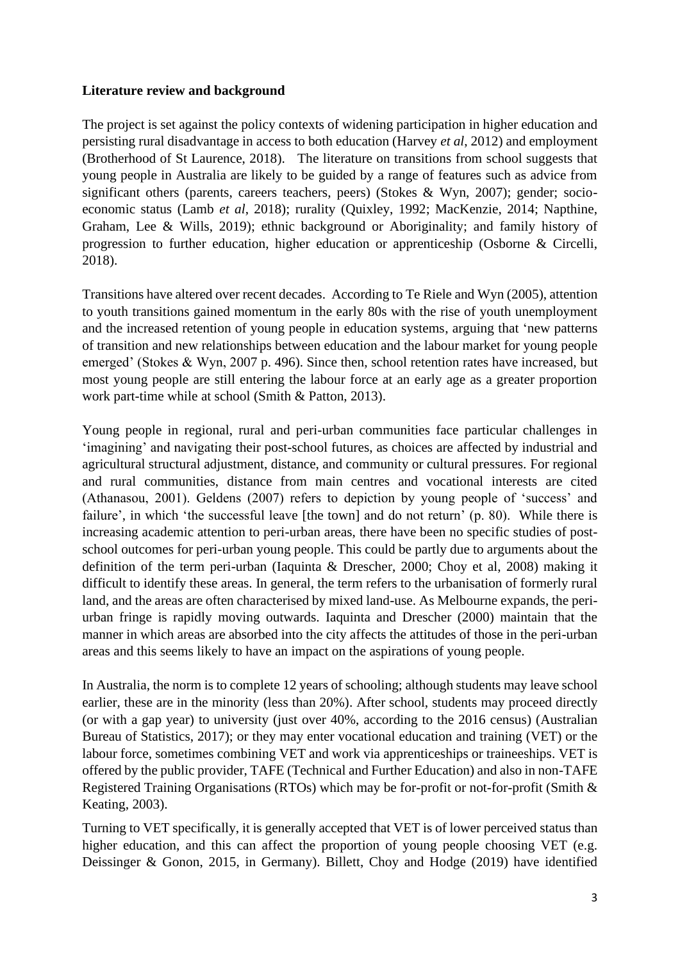#### **Literature review and background**

The project is set against the policy contexts of widening participation in higher education and persisting rural disadvantage in access to both education (Harvey *et al*, 2012) and employment (Brotherhood of St Laurence, 2018). The literature on transitions from school suggests that young people in Australia are likely to be guided by a range of features such as advice from significant others (parents, careers teachers, peers) (Stokes & Wyn, 2007); gender; socioeconomic status (Lamb *et al*, 2018); rurality (Quixley, 1992; MacKenzie, 2014; Napthine, Graham, Lee & Wills, 2019); ethnic background or Aboriginality; and family history of progression to further education, higher education or apprenticeship (Osborne & Circelli, 2018).

Transitions have altered over recent decades. According to Te Riele and Wyn (2005), attention to youth transitions gained momentum in the early 80s with the rise of youth unemployment and the increased retention of young people in education systems, arguing that 'new patterns of transition and new relationships between education and the labour market for young people emerged' (Stokes & Wyn, 2007 p. 496). Since then, school retention rates have increased, but most young people are still entering the labour force at an early age as a greater proportion work part-time while at school (Smith & Patton, 2013).

Young people in regional, rural and peri-urban communities face particular challenges in 'imagining' and navigating their post-school futures, as choices are affected by industrial and agricultural structural adjustment, distance, and community or cultural pressures. For regional and rural communities, distance from main centres and vocational interests are cited (Athanasou, 2001). Geldens (2007) refers to depiction by young people of 'success' and failure', in which 'the successful leave [the town] and do not return' (p. 80). While there is increasing academic attention to peri-urban areas, there have been no specific studies of postschool outcomes for peri-urban young people. This could be partly due to arguments about the definition of the term peri-urban (Iaquinta & Drescher, 2000; Choy et al, 2008) making it difficult to identify these areas. In general, the term refers to the urbanisation of formerly rural land, and the areas are often characterised by mixed land-use. As Melbourne expands, the periurban fringe is rapidly moving outwards. Iaquinta and Drescher (2000) maintain that the manner in which areas are absorbed into the city affects the attitudes of those in the peri-urban areas and this seems likely to have an impact on the aspirations of young people.

In Australia, the norm is to complete 12 years of schooling; although students may leave school earlier, these are in the minority (less than 20%). After school, students may proceed directly (or with a gap year) to university (just over 40%, according to the 2016 census) (Australian Bureau of Statistics, 2017); or they may enter vocational education and training (VET) or the labour force, sometimes combining VET and work via apprenticeships or traineeships. VET is offered by the public provider, TAFE (Technical and Further Education) and also in non-TAFE Registered Training Organisations (RTOs) which may be for-profit or not-for-profit (Smith & Keating, 2003).

Turning to VET specifically, it is generally accepted that VET is of lower perceived status than higher education, and this can affect the proportion of young people choosing VET (e.g. Deissinger & Gonon, 2015, in Germany). Billett, Choy and Hodge (2019) have identified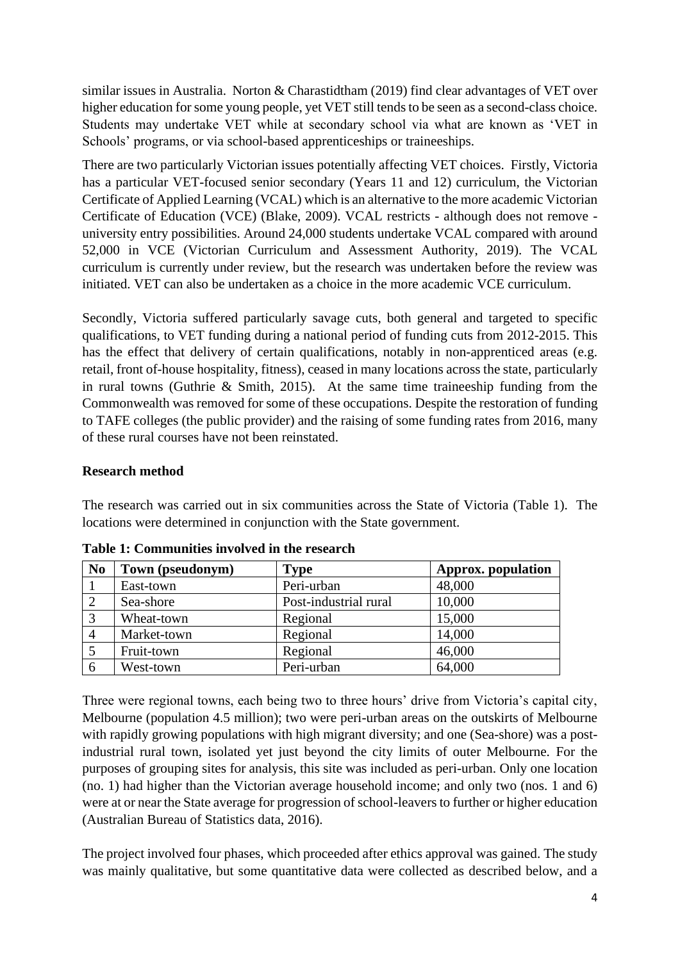similar issues in Australia. Norton & Charastidtham (2019) find clear advantages of VET over higher education for some young people, yet VET still tends to be seen as a second-class choice. Students may undertake VET while at secondary school via what are known as 'VET in Schools' programs, or via school-based apprenticeships or traineeships.

There are two particularly Victorian issues potentially affecting VET choices. Firstly, Victoria has a particular VET-focused senior secondary (Years 11 and 12) curriculum, the Victorian Certificate of Applied Learning (VCAL) which is an alternative to the more academic Victorian Certificate of Education (VCE) (Blake, 2009). VCAL restricts - although does not remove university entry possibilities. Around 24,000 students undertake VCAL compared with around 52,000 in VCE (Victorian Curriculum and Assessment Authority, 2019). The VCAL curriculum is currently under review, but the research was undertaken before the review was initiated. VET can also be undertaken as a choice in the more academic VCE curriculum.

Secondly, Victoria suffered particularly savage cuts, both general and targeted to specific qualifications, to VET funding during a national period of funding cuts from 2012-2015. This has the effect that delivery of certain qualifications, notably in non-apprenticed areas (e.g. retail, front of-house hospitality, fitness), ceased in many locations across the state, particularly in rural towns (Guthrie & Smith, 2015). At the same time traineeship funding from the Commonwealth was removed for some of these occupations. Despite the restoration of funding to TAFE colleges (the public provider) and the raising of some funding rates from 2016, many of these rural courses have not been reinstated.

#### **Research method**

The research was carried out in six communities across the State of Victoria (Table 1). The locations were determined in conjunction with the State government.

| N <sub>0</sub> | Town (pseudonym) | <b>Type</b>           | <b>Approx.</b> population |
|----------------|------------------|-----------------------|---------------------------|
|                | East-town        | Peri-urban            | 48,000                    |
| 2              | Sea-shore        | Post-industrial rural | 10,000                    |
|                | Wheat-town       | Regional              | 15,000                    |
| $\overline{4}$ | Market-town      | Regional              | 14,000                    |
|                | Fruit-town       | Regional              | 46,000                    |
| $\overline{6}$ | West-town        | Peri-urban            | 64,000                    |

**Table 1: Communities involved in the research**

Three were regional towns, each being two to three hours' drive from Victoria's capital city, Melbourne (population 4.5 million); two were peri-urban areas on the outskirts of Melbourne with rapidly growing populations with high migrant diversity; and one (Sea-shore) was a postindustrial rural town, isolated yet just beyond the city limits of outer Melbourne. For the purposes of grouping sites for analysis, this site was included as peri-urban. Only one location (no. 1) had higher than the Victorian average household income; and only two (nos. 1 and 6) were at or near the State average for progression of school-leavers to further or higher education (Australian Bureau of Statistics data, 2016).

The project involved four phases, which proceeded after ethics approval was gained. The study was mainly qualitative, but some quantitative data were collected as described below, and a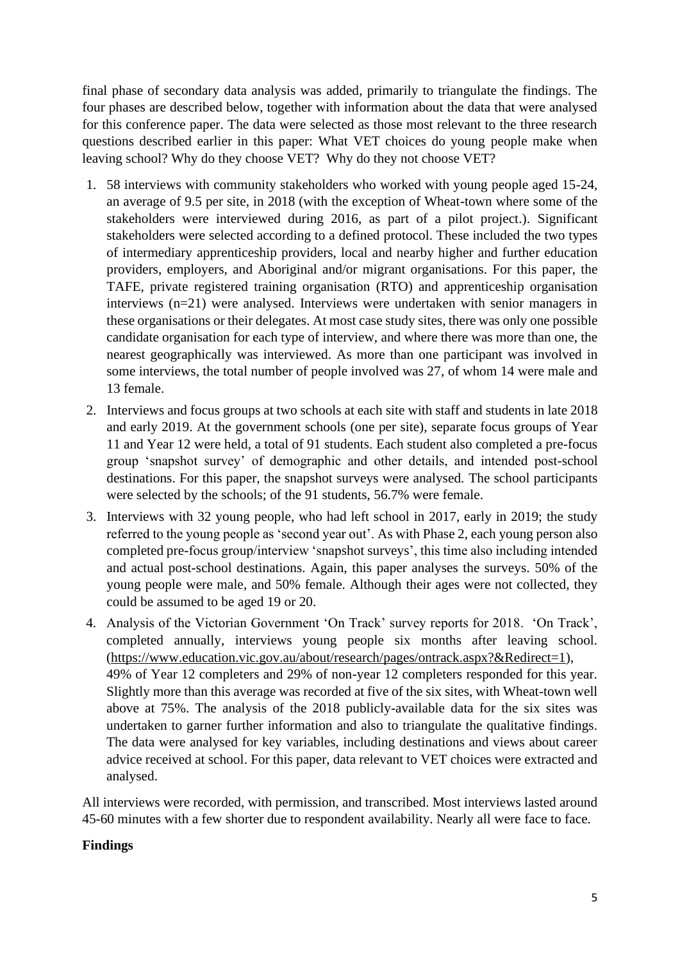final phase of secondary data analysis was added, primarily to triangulate the findings. The four phases are described below, together with information about the data that were analysed for this conference paper. The data were selected as those most relevant to the three research questions described earlier in this paper: What VET choices do young people make when leaving school? Why do they choose VET? Why do they not choose VET?

- 1. 58 interviews with community stakeholders who worked with young people aged 15-24, an average of 9.5 per site, in 2018 (with the exception of Wheat-town where some of the stakeholders were interviewed during 2016, as part of a pilot project.). Significant stakeholders were selected according to a defined protocol. These included the two types of intermediary apprenticeship providers, local and nearby higher and further education providers, employers, and Aboriginal and/or migrant organisations. For this paper, the TAFE, private registered training organisation (RTO) and apprenticeship organisation interviews (n=21) were analysed. Interviews were undertaken with senior managers in these organisations or their delegates. At most case study sites, there was only one possible candidate organisation for each type of interview, and where there was more than one, the nearest geographically was interviewed. As more than one participant was involved in some interviews, the total number of people involved was 27, of whom 14 were male and 13 female.
- 2. Interviews and focus groups at two schools at each site with staff and students in late 2018 and early 2019. At the government schools (one per site), separate focus groups of Year 11 and Year 12 were held, a total of 91 students. Each student also completed a pre-focus group 'snapshot survey' of demographic and other details, and intended post-school destinations. For this paper, the snapshot surveys were analysed. The school participants were selected by the schools; of the 91 students, 56.7% were female.
- 3. Interviews with 32 young people, who had left school in 2017, early in 2019; the study referred to the young people as 'second year out'. As with Phase 2, each young person also completed pre-focus group/interview 'snapshot surveys', this time also including intended and actual post-school destinations. Again, this paper analyses the surveys. 50% of the young people were male, and 50% female. Although their ages were not collected, they could be assumed to be aged 19 or 20.
- 4. Analysis of the Victorian Government 'On Track' survey reports for 2018. 'On Track', completed annually, interviews young people six months after leaving school. [\(https://www.education.vic.gov.au/about/research/pages/ontrack.aspx?&Redirect=1\)](https://www.education.vic.gov.au/about/research/pages/ontrack.aspx?&Redirect=1), 49% of Year 12 completers and 29% of non-year 12 completers responded for this year. Slightly more than this average was recorded at five of the six sites, with Wheat-town well above at 75%. The analysis of the 2018 publicly-available data for the six sites was undertaken to garner further information and also to triangulate the qualitative findings. The data were analysed for key variables, including destinations and views about career advice received at school. For this paper, data relevant to VET choices were extracted and analysed.

All interviews were recorded, with permission, and transcribed. Most interviews lasted around 45-60 minutes with a few shorter due to respondent availability. Nearly all were face to face.

#### **Findings**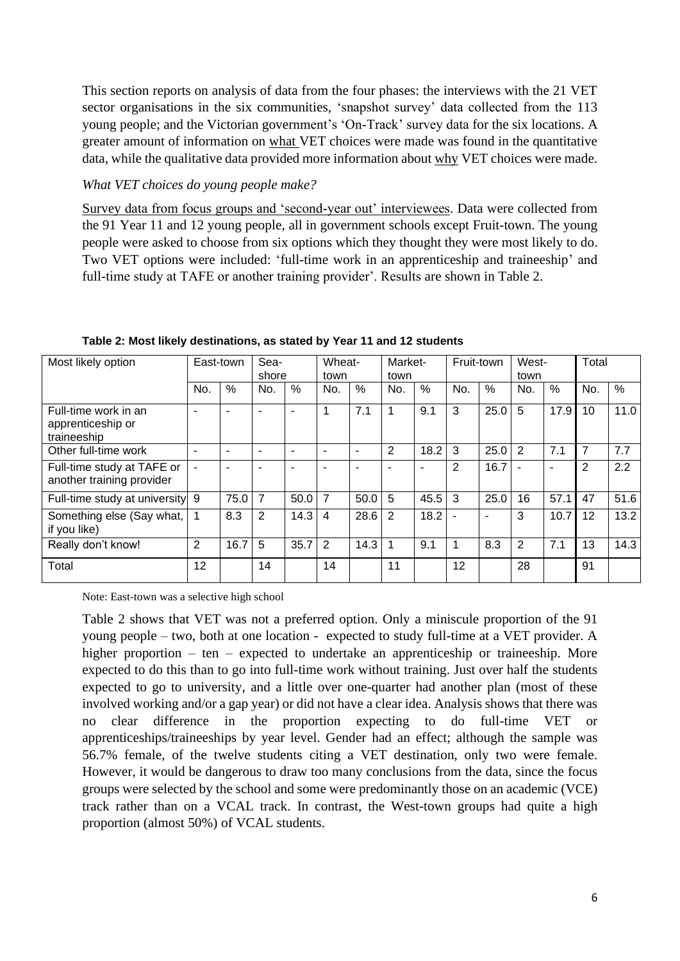This section reports on analysis of data from the four phases: the interviews with the 21 VET sector organisations in the six communities, 'snapshot survey' data collected from the 113 young people; and the Victorian government's 'On-Track' survey data for the six locations. A greater amount of information on what VET choices were made was found in the quantitative data, while the qualitative data provided more information about why VET choices were made.

#### *What VET choices do young people make?*

Survey data from focus groups and 'second-year out' interviewees. Data were collected from the 91 Year 11 and 12 young people, all in government schools except Fruit-town. The young people were asked to choose from six options which they thought they were most likely to do. Two VET options were included: 'full-time work in an apprenticeship and traineeship' and full-time study at TAFE or another training provider'. Results are shown in Table 2.

| Most likely option                                       | Sea-<br>East-town<br>shore |                          |                | Wheat-<br>town           |                          | Market-<br>town          |                          | Fruit-town |                | West-<br>town |     | Total                    |     |      |
|----------------------------------------------------------|----------------------------|--------------------------|----------------|--------------------------|--------------------------|--------------------------|--------------------------|------------|----------------|---------------|-----|--------------------------|-----|------|
|                                                          | No.                        | $\frac{0}{0}$            | No.            | $\%$                     | No.                      | $\frac{0}{0}$            | No.                      | $\%$       | No.            | $\%$          | No. | $\%$                     | No. | $\%$ |
| Full-time work in an<br>apprenticeship or<br>traineeship | $\overline{\phantom{0}}$   |                          | ۰              | $\blacksquare$           | 1                        | 7.1                      | 1                        | 9.1        | 3              | 25.0          | 5   | 17.9                     | 10  | 11.0 |
| Other full-time work                                     | $\overline{\phantom{0}}$   | $\overline{\phantom{0}}$ | ۰              | $\overline{\phantom{0}}$ | $\overline{\phantom{0}}$ | $\overline{\phantom{a}}$ | 2                        | 18.2       | 3              | 25.0          | 2   | 7.1                      | 7   | 7.7  |
| Full-time study at TAFE or<br>another training provider  | ٠                          |                          |                |                          |                          | $\overline{\phantom{a}}$ | $\overline{\phantom{a}}$ | ۰          | 2              | 16.7          | ۰   | $\overline{\phantom{0}}$ | 2   | 2.2  |
| Full-time study at university 9                          |                            | 75.0                     | $\overline{7}$ | 50.0                     | $\overline{7}$           | 50.0                     | 5                        | 45.5       | 3              | 25.0          | 16  | 57.1                     | 47  | 51.6 |
| Something else (Say what,<br>if you like)                |                            | 8.3                      | $\overline{2}$ | 14.3                     | $\overline{4}$           | 28.6                     | 2                        | 18.2       | $\blacksquare$ | ۰             | 3   | 10.7                     | 12  | 13.2 |
| Really don't know!                                       | 2                          | 16.7                     | 5              | 35.7                     | 2                        | 14.3                     | -1                       | 9.1        | 1              | 8.3           | 2   | 7.1                      | 13  | 14.3 |
| Total                                                    | 12 <sup>2</sup>            |                          | 14             |                          | 14                       |                          | 11                       |            | 12             |               | 28  |                          | 91  |      |

**Table 2: Most likely destinations, as stated by Year 11 and 12 students** 

Note: East-town was a selective high school

Table 2 shows that VET was not a preferred option. Only a miniscule proportion of the 91 young people – two, both at one location - expected to study full-time at a VET provider. A higher proportion – ten – expected to undertake an apprenticeship or traineeship. More expected to do this than to go into full-time work without training. Just over half the students expected to go to university, and a little over one-quarter had another plan (most of these involved working and/or a gap year) or did not have a clear idea. Analysis shows that there was no clear difference in the proportion expecting to do full-time VET or apprenticeships/traineeships by year level. Gender had an effect; although the sample was 56.7% female, of the twelve students citing a VET destination, only two were female. However, it would be dangerous to draw too many conclusions from the data, since the focus groups were selected by the school and some were predominantly those on an academic (VCE) track rather than on a VCAL track. In contrast, the West-town groups had quite a high proportion (almost 50%) of VCAL students.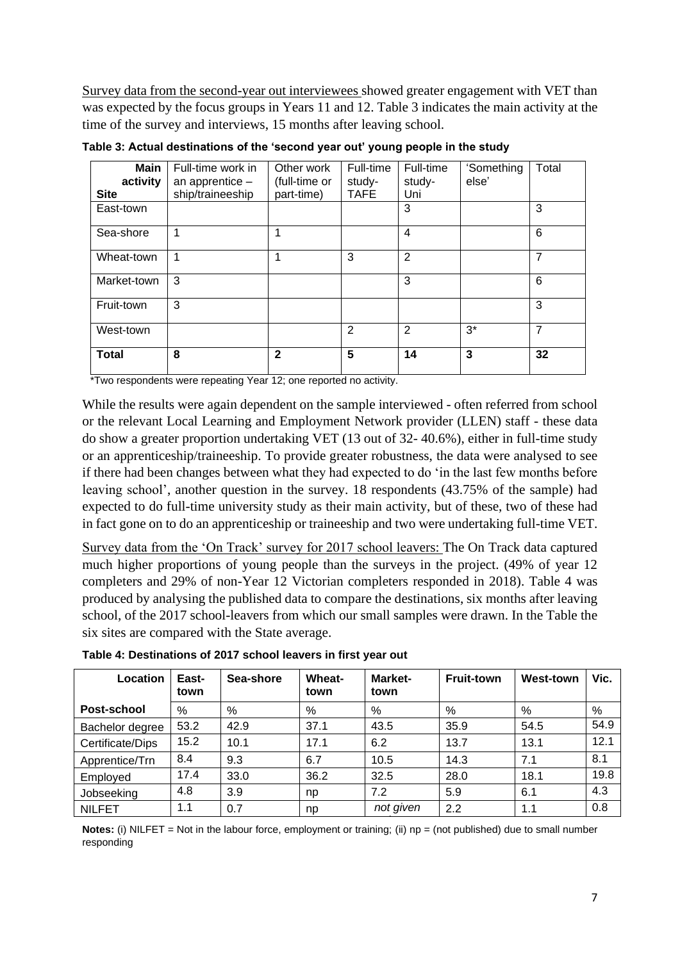Survey data from the second-year out interviewees showed greater engagement with VET than was expected by the focus groups in Years 11 and 12. Table 3 indicates the main activity at the time of the survey and interviews, 15 months after leaving school.

| Table 3: Actual destinations of the 'second year out' young people in the study |  |  |  |  |  |  |  |
|---------------------------------------------------------------------------------|--|--|--|--|--|--|--|
|---------------------------------------------------------------------------------|--|--|--|--|--|--|--|

| <b>Main</b><br>activity<br><b>Site</b> | Full-time work in<br>an apprentice $-$<br>ship/traineeship | Other work<br>(full-time or<br>part-time) | Full-time<br>study-<br><b>TAFE</b> | Full-time<br>study-<br>Uni | 'Something<br>else' | Total          |
|----------------------------------------|------------------------------------------------------------|-------------------------------------------|------------------------------------|----------------------------|---------------------|----------------|
| East-town                              |                                                            |                                           |                                    | 3                          |                     | 3              |
| Sea-shore                              | 1                                                          | 4                                         |                                    | $\overline{4}$             |                     | 6              |
| Wheat-town                             | 1                                                          | 4                                         | 3                                  | $\overline{2}$             |                     | $\overline{7}$ |
| Market-town                            | 3                                                          |                                           |                                    | 3                          |                     | 6              |
| Fruit-town                             | 3                                                          |                                           |                                    |                            |                     | 3              |
| West-town                              |                                                            |                                           | $\overline{2}$                     | $\overline{2}$             | $3^*$               | $\overline{7}$ |
| <b>Total</b>                           | 8                                                          | $\mathbf{2}$                              | 5                                  | 14                         | 3                   | 32             |

\*Two respondents were repeating Year 12; one reported no activity.

While the results were again dependent on the sample interviewed - often referred from school or the relevant Local Learning and Employment Network provider (LLEN) staff - these data do show a greater proportion undertaking VET (13 out of 32- 40.6%), either in full-time study or an apprenticeship/traineeship. To provide greater robustness, the data were analysed to see if there had been changes between what they had expected to do 'in the last few months before leaving school', another question in the survey. 18 respondents (43.75% of the sample) had expected to do full-time university study as their main activity, but of these, two of these had in fact gone on to do an apprenticeship or traineeship and two were undertaking full-time VET.

Survey data from the 'On Track' survey for 2017 school leavers: The On Track data captured much higher proportions of young people than the surveys in the project. (49% of year 12 completers and 29% of non-Year 12 Victorian completers responded in 2018). Table 4 was produced by analysing the published data to compare the destinations, six months after leaving school, of the 2017 school-leavers from which our small samples were drawn. In the Table the six sites are compared with the State average.

| Location         | East-<br>town | Sea-shore | <b>Wheat-</b><br>town | Market-<br>town | <b>Fruit-town</b> | <b>West-town</b> | Vic. |
|------------------|---------------|-----------|-----------------------|-----------------|-------------------|------------------|------|
| Post-school      | %             | %         | %                     | %               | %                 | %                | %    |
| Bachelor degree  | 53.2          | 42.9      | 37.1                  | 43.5            | 35.9              | 54.5             | 54.9 |
| Certificate/Dips | 15.2          | 10.1      | 17.1                  | 6.2             | 13.7              | 13.1             | 12.1 |
| Apprentice/Trn   | 8.4           | 9.3       | 6.7                   | 10.5            | 14.3              | 7.1              | 8.1  |
| Employed         | 17.4          | 33.0      | 36.2                  | 32.5            | 28.0              | 18.1             | 19.8 |
| Jobseeking       | 4.8           | 3.9       | np                    | 7.2             | 5.9               | 6.1              | 4.3  |
| <b>NILFET</b>    | 1.1           | 0.7       | np                    | not given       | 2.2               | 1.1              | 0.8  |

**Table 4: Destinations of 2017 school leavers in first year out**

**Notes:** (i) NILFET = Not in the labour force, employment or training; (ii) np = (not published) due to small number responding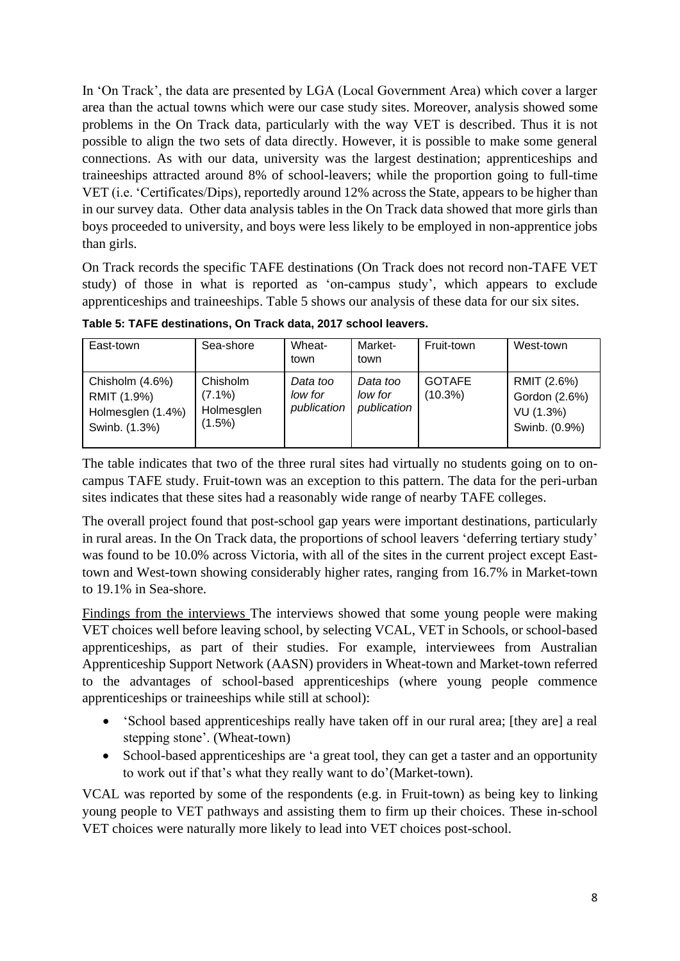In 'On Track', the data are presented by LGA (Local Government Area) which cover a larger area than the actual towns which were our case study sites. Moreover, analysis showed some problems in the On Track data, particularly with the way VET is described. Thus it is not possible to align the two sets of data directly. However, it is possible to make some general connections. As with our data, university was the largest destination; apprenticeships and traineeships attracted around 8% of school-leavers; while the proportion going to full-time VET (i.e. 'Certificates/Dips), reportedly around 12% across the State, appears to be higher than in our survey data. Other data analysis tables in the On Track data showed that more girls than boys proceeded to university, and boys were less likely to be employed in non-apprentice jobs than girls.

On Track records the specific TAFE destinations (On Track does not record non-TAFE VET study) of those in what is reported as 'on-campus study', which appears to exclude apprenticeships and traineeships. Table 5 shows our analysis of these data for our six sites.

| East-town                                                            | Sea-shore                                        | Wheat-<br>town                     | Market-<br>town                    | Fruit-town                  | West-town                                                  |
|----------------------------------------------------------------------|--------------------------------------------------|------------------------------------|------------------------------------|-----------------------------|------------------------------------------------------------|
| Chisholm (4.6%)<br>RMIT (1.9%)<br>Holmesglen (1.4%)<br>Swinb. (1.3%) | Chisholm<br>$(7.1\%)$<br>Holmesglen<br>$(1.5\%)$ | Data too<br>low for<br>publication | Data too<br>low for<br>publication | <b>GOTAFE</b><br>$(10.3\%)$ | RMIT (2.6%)<br>Gordon (2.6%)<br>VU (1.3%)<br>Swinb. (0.9%) |

**Table 5: TAFE destinations, On Track data, 2017 school leavers.**

The table indicates that two of the three rural sites had virtually no students going on to oncampus TAFE study. Fruit-town was an exception to this pattern. The data for the peri-urban sites indicates that these sites had a reasonably wide range of nearby TAFE colleges.

The overall project found that post-school gap years were important destinations, particularly in rural areas. In the On Track data, the proportions of school leavers 'deferring tertiary study' was found to be 10.0% across Victoria, with all of the sites in the current project except Easttown and West-town showing considerably higher rates, ranging from 16.7% in Market-town to 19.1% in Sea-shore.

Findings from the interviews The interviews showed that some young people were making VET choices well before leaving school, by selecting VCAL, VET in Schools, or school-based apprenticeships, as part of their studies. For example, interviewees from Australian Apprenticeship Support Network (AASN) providers in Wheat-town and Market-town referred to the advantages of school-based apprenticeships (where young people commence apprenticeships or traineeships while still at school):

- 'School based apprenticeships really have taken off in our rural area; [they are] a real stepping stone'. (Wheat-town)
- School-based apprenticeships are 'a great tool, they can get a taster and an opportunity to work out if that's what they really want to do'(Market-town).

VCAL was reported by some of the respondents (e.g. in Fruit-town) as being key to linking young people to VET pathways and assisting them to firm up their choices. These in-school VET choices were naturally more likely to lead into VET choices post-school.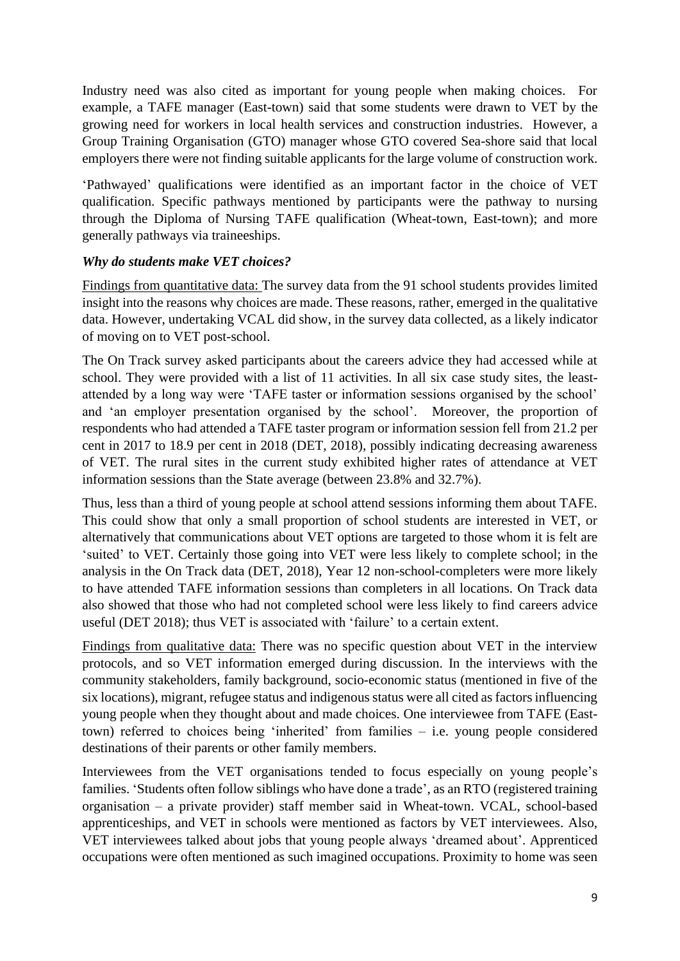Industry need was also cited as important for young people when making choices. For example, a TAFE manager (East-town) said that some students were drawn to VET by the growing need for workers in local health services and construction industries. However, a Group Training Organisation (GTO) manager whose GTO covered Sea-shore said that local employers there were not finding suitable applicants for the large volume of construction work.

'Pathwayed' qualifications were identified as an important factor in the choice of VET qualification. Specific pathways mentioned by participants were the pathway to nursing through the Diploma of Nursing TAFE qualification (Wheat-town, East-town); and more generally pathways via traineeships.

### *Why do students make VET choices?*

Findings from quantitative data: The survey data from the 91 school students provides limited insight into the reasons why choices are made. These reasons, rather, emerged in the qualitative data. However, undertaking VCAL did show, in the survey data collected, as a likely indicator of moving on to VET post-school.

The On Track survey asked participants about the careers advice they had accessed while at school. They were provided with a list of 11 activities. In all six case study sites, the leastattended by a long way were 'TAFE taster or information sessions organised by the school' and 'an employer presentation organised by the school'. Moreover, the proportion of respondents who had attended a TAFE taster program or information session fell from 21.2 per cent in 2017 to 18.9 per cent in 2018 (DET, 2018), possibly indicating decreasing awareness of VET. The rural sites in the current study exhibited higher rates of attendance at VET information sessions than the State average (between 23.8% and 32.7%).

Thus, less than a third of young people at school attend sessions informing them about TAFE. This could show that only a small proportion of school students are interested in VET, or alternatively that communications about VET options are targeted to those whom it is felt are 'suited' to VET. Certainly those going into VET were less likely to complete school; in the analysis in the On Track data (DET, 2018), Year 12 non-school-completers were more likely to have attended TAFE information sessions than completers in all locations. On Track data also showed that those who had not completed school were less likely to find careers advice useful (DET 2018); thus VET is associated with 'failure' to a certain extent.

Findings from qualitative data: There was no specific question about VET in the interview protocols, and so VET information emerged during discussion. In the interviews with the community stakeholders, family background, socio-economic status (mentioned in five of the six locations), migrant, refugee status and indigenous status were all cited as factors influencing young people when they thought about and made choices. One interviewee from TAFE (Easttown) referred to choices being 'inherited' from families – i.e. young people considered destinations of their parents or other family members.

Interviewees from the VET organisations tended to focus especially on young people's families. 'Students often follow siblings who have done a trade', as an RTO (registered training organisation – a private provider) staff member said in Wheat-town. VCAL, school-based apprenticeships, and VET in schools were mentioned as factors by VET interviewees. Also, VET interviewees talked about jobs that young people always 'dreamed about'. Apprenticed occupations were often mentioned as such imagined occupations. Proximity to home was seen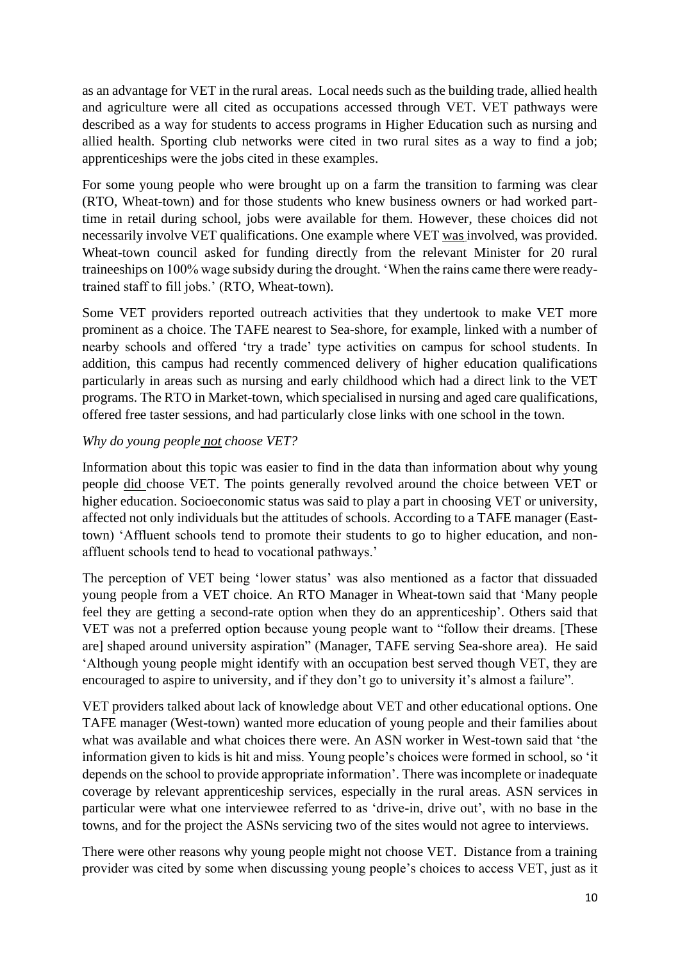as an advantage for VET in the rural areas. Local needs such as the building trade, allied health and agriculture were all cited as occupations accessed through VET. VET pathways were described as a way for students to access programs in Higher Education such as nursing and allied health. Sporting club networks were cited in two rural sites as a way to find a job; apprenticeships were the jobs cited in these examples.

For some young people who were brought up on a farm the transition to farming was clear (RTO, Wheat-town) and for those students who knew business owners or had worked parttime in retail during school, jobs were available for them. However, these choices did not necessarily involve VET qualifications. One example where VET was involved, was provided. Wheat-town council asked for funding directly from the relevant Minister for 20 rural traineeships on 100% wage subsidy during the drought. 'When the rains came there were readytrained staff to fill jobs.' (RTO, Wheat-town).

Some VET providers reported outreach activities that they undertook to make VET more prominent as a choice. The TAFE nearest to Sea-shore, for example, linked with a number of nearby schools and offered 'try a trade' type activities on campus for school students. In addition, this campus had recently commenced delivery of higher education qualifications particularly in areas such as nursing and early childhood which had a direct link to the VET programs. The RTO in Market-town, which specialised in nursing and aged care qualifications, offered free taster sessions, and had particularly close links with one school in the town.

## *Why do young people not choose VET?*

Information about this topic was easier to find in the data than information about why young people did choose VET. The points generally revolved around the choice between VET or higher education. Socioeconomic status was said to play a part in choosing VET or university, affected not only individuals but the attitudes of schools. According to a TAFE manager (Easttown) 'Affluent schools tend to promote their students to go to higher education, and nonaffluent schools tend to head to vocational pathways.'

The perception of VET being 'lower status' was also mentioned as a factor that dissuaded young people from a VET choice. An RTO Manager in Wheat-town said that 'Many people feel they are getting a second-rate option when they do an apprenticeship'. Others said that VET was not a preferred option because young people want to "follow their dreams. [These are] shaped around university aspiration" (Manager, TAFE serving Sea-shore area). He said 'Although young people might identify with an occupation best served though VET, they are encouraged to aspire to university, and if they don't go to university it's almost a failure".

VET providers talked about lack of knowledge about VET and other educational options. One TAFE manager (West-town) wanted more education of young people and their families about what was available and what choices there were. An ASN worker in West-town said that 'the information given to kids is hit and miss. Young people's choices were formed in school, so 'it depends on the school to provide appropriate information'. There was incomplete or inadequate coverage by relevant apprenticeship services, especially in the rural areas. ASN services in particular were what one interviewee referred to as 'drive-in, drive out', with no base in the towns, and for the project the ASNs servicing two of the sites would not agree to interviews.

There were other reasons why young people might not choose VET. Distance from a training provider was cited by some when discussing young people's choices to access VET, just as it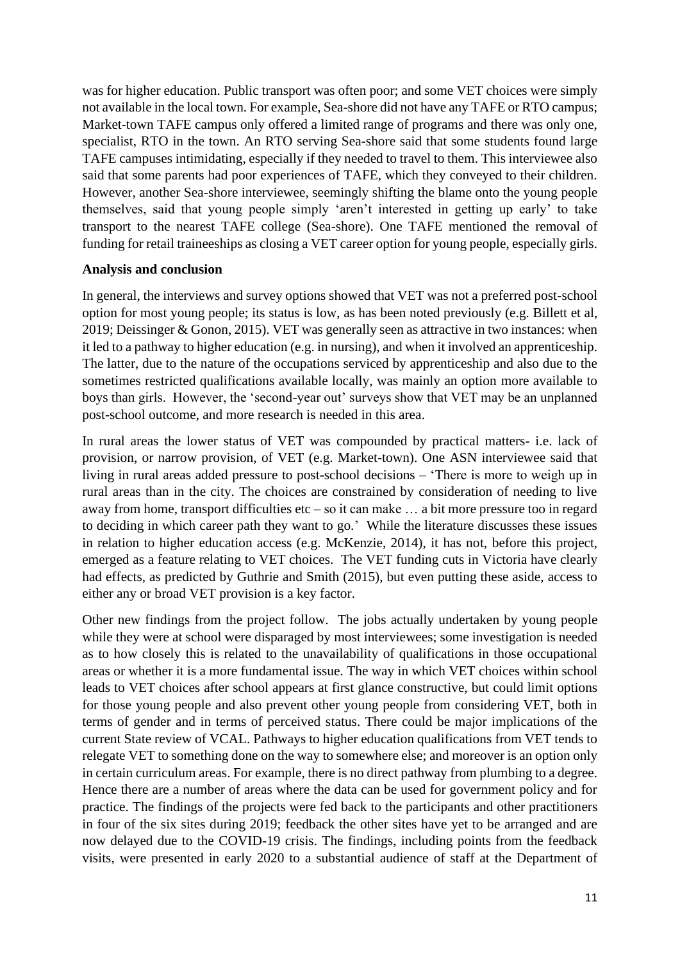was for higher education. Public transport was often poor; and some VET choices were simply not available in the local town. For example, Sea-shore did not have any TAFE or RTO campus; Market-town TAFE campus only offered a limited range of programs and there was only one, specialist, RTO in the town. An RTO serving Sea-shore said that some students found large TAFE campuses intimidating, especially if they needed to travel to them. This interviewee also said that some parents had poor experiences of TAFE, which they conveyed to their children. However, another Sea-shore interviewee, seemingly shifting the blame onto the young people themselves, said that young people simply 'aren't interested in getting up early' to take transport to the nearest TAFE college (Sea-shore). One TAFE mentioned the removal of funding for retail traineeships as closing a VET career option for young people, especially girls.

#### **Analysis and conclusion**

In general, the interviews and survey options showed that VET was not a preferred post-school option for most young people; its status is low, as has been noted previously (e.g. Billett et al, 2019; Deissinger & Gonon, 2015). VET was generally seen as attractive in two instances: when it led to a pathway to higher education (e.g. in nursing), and when it involved an apprenticeship. The latter, due to the nature of the occupations serviced by apprenticeship and also due to the sometimes restricted qualifications available locally, was mainly an option more available to boys than girls. However, the 'second-year out' surveys show that VET may be an unplanned post-school outcome, and more research is needed in this area.

In rural areas the lower status of VET was compounded by practical matters- i.e. lack of provision, or narrow provision, of VET (e.g. Market-town). One ASN interviewee said that living in rural areas added pressure to post-school decisions – 'There is more to weigh up in rural areas than in the city. The choices are constrained by consideration of needing to live away from home, transport difficulties etc – so it can make … a bit more pressure too in regard to deciding in which career path they want to go.' While the literature discusses these issues in relation to higher education access (e.g. McKenzie, 2014), it has not, before this project, emerged as a feature relating to VET choices. The VET funding cuts in Victoria have clearly had effects, as predicted by Guthrie and Smith (2015), but even putting these aside, access to either any or broad VET provision is a key factor.

Other new findings from the project follow. The jobs actually undertaken by young people while they were at school were disparaged by most interviewees; some investigation is needed as to how closely this is related to the unavailability of qualifications in those occupational areas or whether it is a more fundamental issue. The way in which VET choices within school leads to VET choices after school appears at first glance constructive, but could limit options for those young people and also prevent other young people from considering VET, both in terms of gender and in terms of perceived status. There could be major implications of the current State review of VCAL. Pathways to higher education qualifications from VET tends to relegate VET to something done on the way to somewhere else; and moreover is an option only in certain curriculum areas. For example, there is no direct pathway from plumbing to a degree. Hence there are a number of areas where the data can be used for government policy and for practice. The findings of the projects were fed back to the participants and other practitioners in four of the six sites during 2019; feedback the other sites have yet to be arranged and are now delayed due to the COVID-19 crisis. The findings, including points from the feedback visits, were presented in early 2020 to a substantial audience of staff at the Department of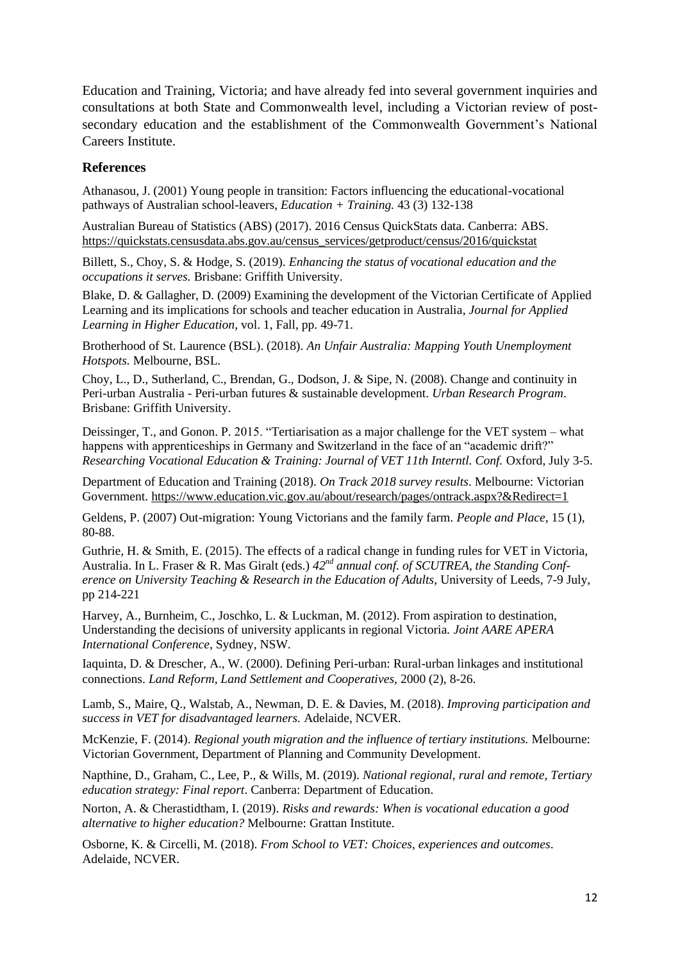Education and Training, Victoria; and have already fed into several government inquiries and consultations at both State and Commonwealth level, including a Victorian review of postsecondary education and the establishment of the Commonwealth Government's National Careers Institute.

#### **References**

Athanasou, J. (2001) Young people in transition: Factors influencing the educational-vocational pathways of Australian school-leavers, *Education + Training.* 43 (3) 132-138

Australian Bureau of Statistics (ABS) (2017). 2016 Census QuickStats data. Canberra: ABS. [https://quickstats.censusdata.abs.gov.au/census\\_services/getproduct/census/2016/quickstat](https://quickstats.censusdata.abs.gov.au/census_services/getproduct/census/2016/quickstat)

Billett, S., Choy, S. & Hodge, S. (2019). *Enhancing the status of vocational education and the occupations it serves.* Brisbane: Griffith University.

Blake, D. & Gallagher, D. (2009) Examining the development of the Victorian Certificate of Applied Learning and its implications for schools and teacher education in Australia*, Journal for Applied Learning in Higher Education*, vol. 1, Fall, pp. 49-71.

Brotherhood of St. Laurence (BSL). (2018). *An Unfair Australia: Mapping Youth Unemployment Hotspots.* Melbourne, BSL*.* 

Choy, L., D., Sutherland, C., Brendan, G., Dodson, J. & Sipe, N. (2008). Change and continuity in Peri-urban Australia - Peri-urban futures & sustainable development. *Urban Research Program*. Brisbane: Griffith University.

[Deissinger,](http://easychair.org/smart-program/JVET2015/person57.html) T., and [Gonon.](http://easychair.org/smart-program/JVET2015/person68.html) P. 2015. "Tertiarisation as a major challenge for the VET system – what happens with apprenticeships in Germany and Switzerland in the face of an "academic drift?" *Researching Vocational Education & Training: Journal of VET 11th Interntl. Conf. Oxford, July 3-5.* 

Department of Education and Training (2018). *On Track 2018 survey results*. Melbourne: Victorian Government.<https://www.education.vic.gov.au/about/research/pages/ontrack.aspx?&Redirect=1>

Geldens, P. (2007) Out-migration: Young Victorians and the family farm*. People and Place,* 15 (1), 80-88.

Guthrie, H. & Smith, E. (2015). The effects of a radical change in funding rules for VET in Victoria, Australia. In L. Fraser & R. Mas Giralt (eds.) *42nd annual conf. of SCUTREA, the Standing Conference on University Teaching & Research in the Education of Adults*, University of Leeds, 7-9 July, pp 214-221

Harvey, A., Burnheim, C., Joschko, L. & Luckman, M. (2012). From aspiration to destination, Understanding the decisions of university applicants in regional Victoria*. Joint AARE APERA International Conference*, Sydney, NSW.

Iaquinta, D. & Drescher, A., W. (2000). Defining Peri-urban: Rural-urban linkages and institutional connections. *Land Reform, Land Settlement and Cooperatives*, 2000 (2), 8-26.

Lamb, S., Maire, Q., Walstab, A., Newman, D. E. & Davies, M. (2018). *Improving participation and success in VET for disadvantaged learners.* Adelaide, NCVER.

McKenzie, F. (2014). *Regional youth migration and the influence of tertiary institutions.* Melbourne: Victorian Government, Department of Planning and Community Development.

Napthine, D., Graham, C., Lee, P., & Wills, M. (2019). *National regional, rural and remote, Tertiary education strategy: Final report*. Canberra: Department of Education.

Norton, A. & Cherastidtham, I. (2019). *Risks and rewards: When is vocational education a good alternative to higher education?* Melbourne: Grattan Institute.

Osborne, K. & Circelli, M. (2018). *From School to VET: Choices, experiences and outcomes*. Adelaide, NCVER.